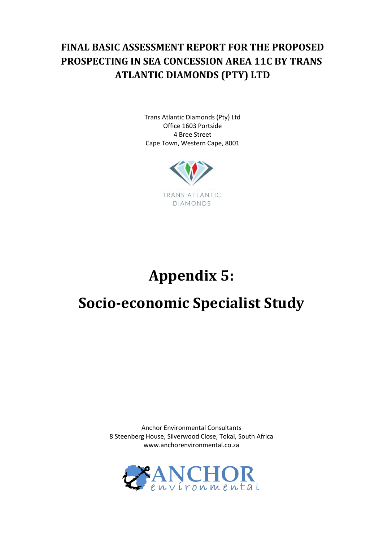## **FINAL BASIC ASSESSMENT REPORT FOR THE PROPOSED PROSPECTING IN SEA CONCESSION AREA 11C BY TRANS ATLANTIC DIAMONDS (PTY) LTD**

Trans Atlantic Diamonds (Pty) Ltd Office 1603 Portside 4 Bree Street Cape Town, Western Cape, 8001



# **Appendix 5:**

# **Socio-economic Specialist Study**

Anchor Environmental Consultants 8 Steenberg House, Silverwood Close, Tokai, South Africa www.anchorenvironmental.co.za

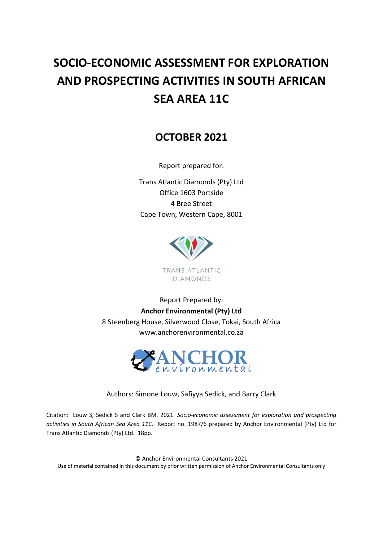# **SOCIO-ECONOMIC ASSESSMENT FOR EXPLORATION AND PROSPECTING ACTIVITIES IN SOUTH AFRICAN SEA AREA 11C**

## **OCTOBER 2021**

Report prepared for:

Trans Atlantic Diamonds (Pty) Ltd Office 1603 Portside 4 Bree Street Cape Town, Western Cape, 8001



Report Prepared by: **Anchor Environmental (Pty) Ltd**  8 Steenberg House, Silverwood Close, Tokai, South Africa www.anchorenvironmental.co.za



Authors: Simone Louw, Safiyya Sedick, and Barry Clark

Citation: Louw S, Sedick S and Clark BM. 2021. *Socio-economic assessment for exploration and prospecting activities in South African Sea Area 11C.* Report no. 1987/6 prepared by Anchor Environmental (Pty) Ltd for Trans Atlantic Diamonds (Pty) Ltd. 18pp.

© Anchor Environmental Consultants 2021 Use of material contained in this document by prior written permission of Anchor Environmental Consultants only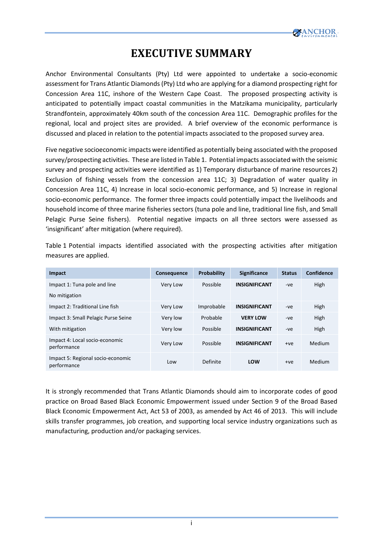

## **EXECUTIVE SUMMARY**

<span id="page-4-0"></span>Anchor Environmental Consultants (Pty) Ltd were appointed to undertake a socio-economic assessment for Trans Atlantic Diamonds (Pty) Ltd who are applying for a diamond prospecting right for Concession Area 11C, inshore of the Western Cape Coast. The proposed prospecting activity is anticipated to potentially impact coastal communities in the Matzikama municipality, particularly Strandfontein, approximately 40km south of the concession Area 11C. Demographic profiles for the regional, local and project sites are provided. A brief overview of the economic performance is discussed and placed in relation to the potential impacts associated to the proposed survey area.

Five negative socioeconomic impacts were identified as potentially being associated with the proposed survey/prospecting activities. These are listed in Table 1. Potential impacts associated with the seismic survey and prospecting activities were identified as 1) Temporary disturbance of marine resources 2) Exclusion of fishing vessels from the concession area 11C; 3) Degradation of water quality in Concession Area 11C, 4) Increase in local socio-economic performance, and 5) Increase in regional socio-economic performance. The former three impacts could potentially impact the livelihoods and household income of three marine fisheries sectors (tuna pole and line, traditional line fish, and Small Pelagic Purse Seine fishers). Potential negative impacts on all three sectors were assessed as 'insignificant' after mitigation (where required).

Table 1 Potential impacts identified associated with the prospecting activities after mitigation measures are applied.

| Impact                                           | <b>Consequence</b> | <b>Probability</b> | <b>Significance</b>  | <b>Status</b> | Confidence |
|--------------------------------------------------|--------------------|--------------------|----------------------|---------------|------------|
| Impact 1: Tuna pole and line                     | Very Low           | Possible           | <b>INSIGNIFICANT</b> | -ve           | High       |
| No mitigation                                    |                    |                    |                      |               |            |
| Impact 2: Traditional Line fish                  | Very Low           | Improbable         | <b>INSIGNIFICANT</b> | -ve           | High       |
| Impact 3: Small Pelagic Purse Seine              | Very low           | Probable           | <b>VERY LOW</b>      | -ve           | High       |
| With mitigation                                  | Very low           | Possible           | <b>INSIGNIFICANT</b> | -ve           | High       |
| Impact 4: Local socio-economic<br>performance    | Very Low           | Possible           | <b>INSIGNIFICANT</b> | $+ve$         | Medium     |
| Impact 5: Regional socio-economic<br>performance | Low                | Definite           | LOW                  | $+ve$         | Medium     |

It is strongly recommended that Trans Atlantic Diamonds should aim to incorporate codes of good practice on Broad Based Black Economic Empowerment issued under Section 9 of the Broad Based Black Economic Empowerment Act, Act 53 of 2003, as amended by Act 46 of 2013. This will include skills transfer programmes, job creation, and supporting local service industry organizations such as manufacturing, production and/or packaging services.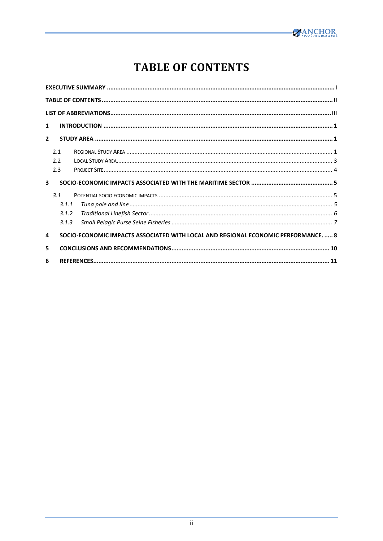

## **TABLE OF CONTENTS**

<span id="page-5-0"></span>

| 1                       |       |                                                                                  |  |
|-------------------------|-------|----------------------------------------------------------------------------------|--|
| $\overline{2}$          |       |                                                                                  |  |
|                         | 2.1   |                                                                                  |  |
|                         | 2.2   |                                                                                  |  |
|                         | 2.3   |                                                                                  |  |
| $\overline{\mathbf{3}}$ |       |                                                                                  |  |
|                         | 31    |                                                                                  |  |
|                         | 3.1.1 |                                                                                  |  |
|                         | 3.1.2 |                                                                                  |  |
|                         | 3.1.3 |                                                                                  |  |
| 4                       |       | SOCIO-ECONOMIC IMPACTS ASSOCIATED WITH LOCAL AND REGIONAL ECONOMIC PERFORMANCE 8 |  |
| 5                       |       |                                                                                  |  |
| 6                       |       |                                                                                  |  |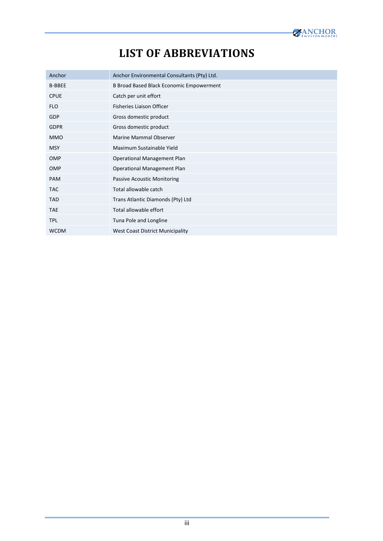# **LIST OF ABBREVIATIONS**

<span id="page-6-0"></span>

| <b>LIST OF ABBREVIATIONS</b><br>Anchor Environmental Consultants (Pty) Ltd.<br>B Broad Based Black Economic Empowerment<br>Catch per unit effort<br>Fisheries Liaison Officer<br>Gross domestic product<br>Gross domestic product<br>Marine Mammal Observer<br>Maximum Sustainable Yield<br><b>MSY</b><br>OMP<br>Operational Management Plan<br>OMP<br>Operational Management Plan<br>PAM<br>Passive Acoustic Monitoring<br>Total allowable catch<br><b>TAC</b><br><b>TAD</b><br>Trans Atlantic Diamonds (Pty) Ltd<br>Total allowable effort<br><b>TAE</b><br>Tuna Pole and Longline<br>West Coast District Municipality |               |     |  |
|--------------------------------------------------------------------------------------------------------------------------------------------------------------------------------------------------------------------------------------------------------------------------------------------------------------------------------------------------------------------------------------------------------------------------------------------------------------------------------------------------------------------------------------------------------------------------------------------------------------------------|---------------|-----|--|
|                                                                                                                                                                                                                                                                                                                                                                                                                                                                                                                                                                                                                          |               |     |  |
|                                                                                                                                                                                                                                                                                                                                                                                                                                                                                                                                                                                                                          |               |     |  |
|                                                                                                                                                                                                                                                                                                                                                                                                                                                                                                                                                                                                                          | Anchor        |     |  |
|                                                                                                                                                                                                                                                                                                                                                                                                                                                                                                                                                                                                                          | <b>B-BBEE</b> |     |  |
|                                                                                                                                                                                                                                                                                                                                                                                                                                                                                                                                                                                                                          | <b>CPUE</b>   |     |  |
|                                                                                                                                                                                                                                                                                                                                                                                                                                                                                                                                                                                                                          | <b>FLO</b>    |     |  |
|                                                                                                                                                                                                                                                                                                                                                                                                                                                                                                                                                                                                                          | GDP           |     |  |
|                                                                                                                                                                                                                                                                                                                                                                                                                                                                                                                                                                                                                          | <b>GDPR</b>   |     |  |
|                                                                                                                                                                                                                                                                                                                                                                                                                                                                                                                                                                                                                          | <b>MMO</b>    |     |  |
|                                                                                                                                                                                                                                                                                                                                                                                                                                                                                                                                                                                                                          |               |     |  |
|                                                                                                                                                                                                                                                                                                                                                                                                                                                                                                                                                                                                                          |               |     |  |
|                                                                                                                                                                                                                                                                                                                                                                                                                                                                                                                                                                                                                          |               |     |  |
|                                                                                                                                                                                                                                                                                                                                                                                                                                                                                                                                                                                                                          |               |     |  |
|                                                                                                                                                                                                                                                                                                                                                                                                                                                                                                                                                                                                                          |               |     |  |
|                                                                                                                                                                                                                                                                                                                                                                                                                                                                                                                                                                                                                          |               |     |  |
|                                                                                                                                                                                                                                                                                                                                                                                                                                                                                                                                                                                                                          |               |     |  |
|                                                                                                                                                                                                                                                                                                                                                                                                                                                                                                                                                                                                                          | <b>TPL</b>    |     |  |
|                                                                                                                                                                                                                                                                                                                                                                                                                                                                                                                                                                                                                          | <b>WCDM</b>   |     |  |
|                                                                                                                                                                                                                                                                                                                                                                                                                                                                                                                                                                                                                          |               |     |  |
|                                                                                                                                                                                                                                                                                                                                                                                                                                                                                                                                                                                                                          |               |     |  |
|                                                                                                                                                                                                                                                                                                                                                                                                                                                                                                                                                                                                                          |               |     |  |
|                                                                                                                                                                                                                                                                                                                                                                                                                                                                                                                                                                                                                          |               |     |  |
|                                                                                                                                                                                                                                                                                                                                                                                                                                                                                                                                                                                                                          |               |     |  |
|                                                                                                                                                                                                                                                                                                                                                                                                                                                                                                                                                                                                                          |               |     |  |
|                                                                                                                                                                                                                                                                                                                                                                                                                                                                                                                                                                                                                          |               |     |  |
|                                                                                                                                                                                                                                                                                                                                                                                                                                                                                                                                                                                                                          |               |     |  |
|                                                                                                                                                                                                                                                                                                                                                                                                                                                                                                                                                                                                                          |               |     |  |
|                                                                                                                                                                                                                                                                                                                                                                                                                                                                                                                                                                                                                          |               |     |  |
|                                                                                                                                                                                                                                                                                                                                                                                                                                                                                                                                                                                                                          |               | iii |  |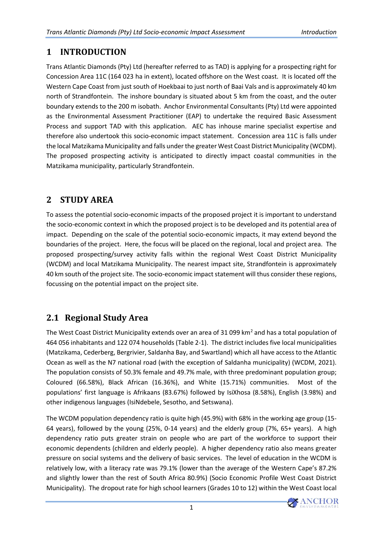### <span id="page-7-0"></span>**1 INTRODUCTION**

Trans Atlantic Diamonds (Pty) Ltd (hereafter referred to as TAD) is applying for a prospecting right for Concession Area 11C (164 023 ha in extent), located offshore on the West coast. It is located off the Western Cape Coast from just south of Hoekbaai to just north of Baai Vals and is approximately 40 km north of Strandfontein. The inshore boundary is situated about 5 km from the coast, and the outer boundary extends to the 200 m isobath. Anchor Environmental Consultants (Pty) Ltd were appointed as the Environmental Assessment Practitioner (EAP) to undertake the required Basic Assessment Process and support TAD with this application. AEC has inhouse marine specialist expertise and therefore also undertook this socio-economic impact statement. Concession area 11C is falls under the local Matzikama Municipality and falls under the greater West Coast District Municipality (WCDM). The proposed prospecting activity is anticipated to directly impact coastal communities in the Matzikama municipality, particularly Strandfontein.

### <span id="page-7-1"></span>**2 STUDY AREA**

To assess the potential socio-economic impacts of the proposed project it is important to understand the socio-economic context in which the proposed project is to be developed and its potential area of impact. Depending on the scale of the potential socio-economic impacts, it may extend beyond the boundaries of the project. Here, the focus will be placed on the regional, local and project area. The proposed prospecting/survey activity falls within the regional West Coast District Municipality (WCDM) and local Matzikama Municipality. The nearest impact site, Strandfontein is approximately 40 km south of the project site. The socio-economic impact statement will thus consider these regions, focussing on the potential impact on the project site.

### <span id="page-7-2"></span>**2.1 Regional Study Area**

The West Coast District Municipality extends over an area of 31 099 km<sup>2</sup> and has a total population of 464 056 inhabitants and 122 074 households [\(Table 2-1\)](#page-8-0). The district includes five local municipalities (Matzikama, Cederberg, Bergrivier, Saldanha Bay, and Swartland) which all have access to the Atlantic Ocean as well as the N7 national road (with the exception of Saldanha municipality) (WCDM, 2021). The population consists of 50.3% female and 49.7% male, with three predominant population group; Coloured (66.58%), Black African (16.36%), and White (15.71%) communities. Most of the populations' first language is Afrikaans (83.67%) followed by IsiXhosa (8.58%), English (3.98%) and other indigenous languages (IsiNdebele, Sesotho, and Setswana).

The WCDM population dependency ratio is quite high (45.9%) with 68% in the working age group (15- 64 years), followed by the young (25%, 0-14 years) and the elderly group (7%, 65+ years). A high dependency ratio puts greater strain on people who are part of the workforce to support their economic dependents (children and elderly people). A higher dependency ratio also means greater pressure on social systems and the delivery of basic services. The level of education in the WCDM is relatively low, with a literacy rate was 79.1% (lower than the average of the Western Cape's 87.2% and slightly lower than the rest of South Africa 80.9%) (Socio Economic Profile West Coast District Municipality). The dropout rate for high school learners (Grades 10 to 12) within the West Coast local

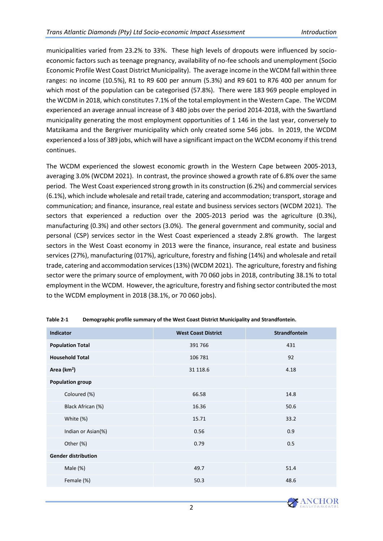municipalities varied from 23.2% to 33%. These high levels of dropouts were influenced by socioeconomic factors such as teenage pregnancy, availability of no-fee schools and unemployment (Socio Economic Profile West Coast District Municipality). The average income in the WCDM fall within three ranges: no income (10.5%), R1 to R9 600 per annum (5.3%) and R9 601 to R76 400 per annum for which most of the population can be categorised (57.8%). There were 183 969 people employed in the WCDM in 2018, which constitutes 7.1% of the total employment in the Western Cape. The WCDM experienced an average annual increase of 3 480 jobs over the period 2014-2018, with the Swartland municipality generating the most employment opportunities of 1 146 in the last year, conversely to Matzikama and the Bergriver municipality which only created some 546 jobs. In 2019, the WCDM experienced a loss of 389 jobs, which will have a significant impact on the WCDM economy if this trend continues.

The WCDM experienced the slowest economic growth in the Western Cape between 2005-2013, averaging 3.0% (WCDM 2021). In contrast, the province showed a growth rate of 6.8% over the same period. The West Coast experienced strong growth in its construction (6.2%) and commercial services (6.1%), which include wholesale and retail trade, catering and accommodation; transport, storage and communication; and finance, insurance, real estate and business services sectors (WCDM 2021). The sectors that experienced a reduction over the 2005-2013 period was the agriculture (0.3%), manufacturing (0.3%) and other sectors (3.0%). The general government and community, social and personal (CSP) services sector in the West Coast experienced a steady 2.8% growth. The largest sectors in the West Coast economy in 2013 were the finance, insurance, real estate and business services (27%), manufacturing (017%), agriculture, forestry and fishing (14%) and wholesale and retail trade, catering and accommodation services (13%) (WCDM 2021). The agriculture, forestry and fishing sector were the primary source of employment, with 70 060 jobs in 2018, contributing 38.1% to total employment in the WCDM. However, the agriculture, forestry and fishing sector contributed the most to the WCDM employment in 2018 (38.1%, or 70 060 jobs).

| <b>Indicator</b>           | <b>West Coast District</b> | <b>Strandfontein</b> |
|----------------------------|----------------------------|----------------------|
| <b>Population Total</b>    | 391 766                    | 431                  |
| <b>Household Total</b>     | 106 781                    | 92                   |
| Area (km <sup>2</sup> )    | 31 118.6                   | 4.18                 |
| <b>Population group</b>    |                            |                      |
| Coloured (%)               | 66.58                      | 14.8                 |
| Black African (%)          | 16.36                      | 50.6                 |
| White (%)                  | 15.71                      | 33.2                 |
| Indian or Asian(%)         | 0.56                       | 0.9                  |
| Other (%)                  | 0.79                       | 0.5                  |
| <b>Gender distribution</b> |                            |                      |
| Male (%)                   | 49.7                       | 51.4                 |
| Female (%)                 | 50.3                       | 48.6                 |

<span id="page-8-0"></span>**Table 2-1 Demographic profile summary of the West Coast District Municipality and Strandfontein.** 

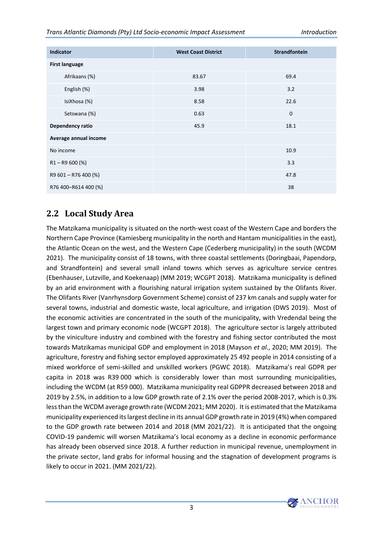#### *Trans Atlantic Diamonds (Pty) Ltd Socio-economic Impact Assessment Introduction*

| <b>Indicator</b>      | <b>West Coast District</b> | <b>Strandfontein</b> |
|-----------------------|----------------------------|----------------------|
| <b>First language</b> |                            |                      |
| Afrikaans (%)         | 83.67                      | 69.4                 |
| English (%)           | 3.98                       | 3.2                  |
| IsiXhosa (%)          | 8.58                       | 22.6                 |
| Setswana (%)          | 0.63                       | $\mathbf 0$          |
| Dependency ratio      | 45.9                       | 18.1                 |
| Average annual income |                            |                      |
| No income             |                            | 10.9                 |
| $R1 - R9600$ (%)      |                            | 3.3                  |
| R9 601 - R76 400 (%)  |                            | 47.8                 |
| R76 400-R614 400 (%)  |                            | 38                   |

#### <span id="page-9-0"></span>**2.2 Local Study Area**

The Matzikama municipality is situated on the north-west coast of the Western Cape and borders the Northern Cape Province (Kamiesberg municipality in the north and Hantam municipalities in the east), the Atlantic Ocean on the west, and the Western Cape (Cederberg municipality) in the south (WCDM 2021). The municipality consist of 18 towns, with three coastal settlements (Doringbaai, Papendorp, and Strandfontein) and several small inland towns which serves as agriculture service centres (Ebenhauser, Lutzville, and Koekenaap) (MM 2019; WCGPT 2018). Matzikama municipality is defined by an arid environment with a flourishing natural irrigation system sustained by the Olifants River. The Olifants River (Vanrhynsdorp Government Scheme) consist of 237 km canals and supply water for several towns, industrial and domestic waste, local agriculture, and irrigation (DWS 2019). Most of the economic activities are concentrated in the south of the municipality, with Vredendal being the largest town and primary economic node (WCGPT 2018). The agriculture sector is largely attributed by the viniculture industry and combined with the forestry and fishing sector contributed the most towards Matzikamas municipal GDP and employment in 2018 (Mayson *et al*., 2020; MM 2019). The agriculture, forestry and fishing sector employed approximately 25 492 people in 2014 consisting of a mixed workforce of semi-skilled and unskilled workers (PGWC 2018). Matzikama's real GDPR per capita in 2018 was R39 000 which is considerably lower than most surrounding municipalities, including the WCDM (at R59 000). Matzikama municipality real GDPPR decreased between 2018 and 2019 by 2.5%, in addition to a low GDP growth rate of 2.1% over the period 2008-2017, which is 0.3% less than the WCDM average growth rate (WCDM 2021; MM 2020). It is estimated that the Matzikama municipality experienced its largest decline in its annual GDP growth rate in 2019 (4%) when compared to the GDP growth rate between 2014 and 2018 (MM 2021/22). It is anticipated that the ongoing COVID-19 pandemic will worsen Matzikama's local economy as a decline in economic performance has already been observed since 2018. A further reduction in municipal revenue, unemployment in the private sector, land grabs for informal housing and the stagnation of development programs is likely to occur in 2021. (MM 2021/22).

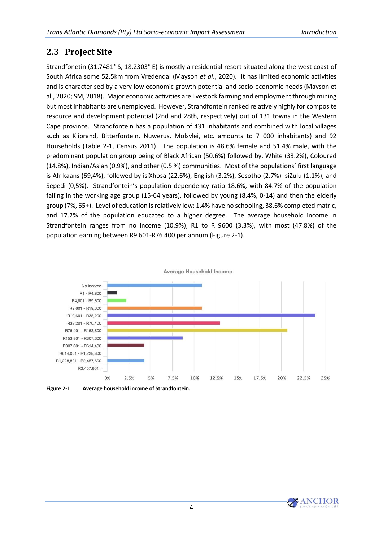#### <span id="page-10-0"></span>**2.3 Project Site**

Strandfonetin (31.7481° S, 18.2303° E) is mostly a residential resort situated along the west coast of South Africa some 52.5km from Vredendal (Mayson *et al*., 2020). It has limited economic activities and is characterised by a very low economic growth potential and socio-economic needs (Mayson et al., 2020; SM, 2018). Major economic activities are livestock farming and employment through mining but most inhabitants are unemployed. However, Strandfontein ranked relatively highly for composite resource and development potential (2nd and 28th, respectively) out of 131 towns in the Western Cape province. Strandfontein has a population of 431 inhabitants and combined with local villages such as Kliprand, Bitterfontein, Nuwerus, Molsvlei, etc. amounts to 7 000 inhabitants) and 92 Households [\(Table 2-1,](#page-8-0) Census 2011). The population is 48.6% female and 51.4% male, with the predominant population group being of Black African (50.6%) followed by, White (33.2%), Coloured (14.8%), Indian/Asian (0.9%), and other (0.5 %) communities. Most of the populations' first language is Afrikaans (69,4%), followed by isiXhosa (22.6%), English (3.2%), Sesotho (2.7%) IsiZulu (1.1%), and Sepedi (0,5%). Strandfontein's population dependency ratio 18.6%, with 84.7% of the population falling in the working age group (15-64 years), followed by young (8.4%, 0-14) and then the elderly group (7%, 65+). Level of education is relatively low: 1.4% have no schooling, 38.6% completed matric, and 17.2% of the population educated to a higher degree. The average household income in Strandfontein ranges from no income (10.9%), R1 to R 9600 (3.3%), with most (47.8%) of the population earning between R9 601-R76 400 per annum [\(Figure 2-1\)](#page-10-1).



<span id="page-10-1"></span>**Figure 2-1 Average household income of Strandfontein.** 

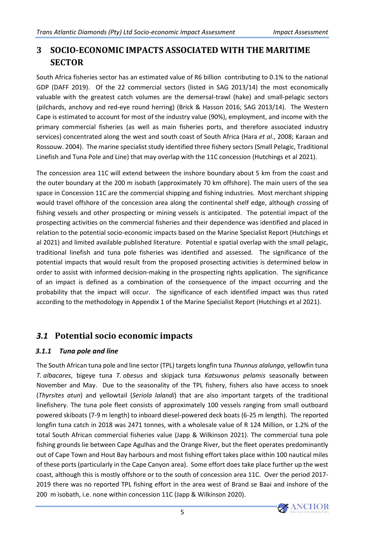#### <span id="page-11-0"></span>**3 SOCIO-ECONOMIC IMPACTS ASSOCIATED WITH THE MARITIME SECTOR**

South Africa fisheries sector has an estimated value of R6 billion contributing to 0.1% to the national GDP (DAFF 2019). Of the 22 commercial sectors (listed in SAG 2013/14) the most economically valuable with the greatest catch volumes are the demersal-trawl (hake) and small-pelagic sectors (pilchards, anchovy and red-eye round herring) (Brick & Hasson 2016; SAG 2013/14). The Western Cape is estimated to account for most of the industry value (90%), employment, and income with the primary commercial fisheries (as well as main fisheries ports, and therefore associated industry services) concentrated along the west and south coast of South Africa (Hara *et al*., 2008; Karaan and Rossouw. 2004). The marine specialist study identified three fishery sectors (Small Pelagic, Traditional Linefish and Tuna Pole and Line) that may overlap with the 11C concession (Hutchings et al 2021).

The concession area 11C will extend between the inshore boundary about 5 km from the coast and the outer boundary at the 200 m isobath (approximately 70 km offshore). The main users of the sea space in Concession 11C are the commercial shipping and fishing industries. Most merchant shipping would travel offshore of the concession area along the continental shelf edge, although crossing of fishing vessels and other prospecting or mining vessels is anticipated. The potential impact of the prospecting activities on the commercial fisheries and their dependence was identified and placed in relation to the potential socio-economic impacts based on the Marine Specialist Report (Hutchings et al 2021) and limited available published literature. Potential e spatial overlap with the small pelagic, traditional linefish and tuna pole fisheries was identified and assessed. The significance of the potential impacts that would result from the proposed prosecting activities is determined below in order to assist with informed decision-making in the prospecting rights application. The significance of an impact is defined as a combination of the consequence of the impact occurring and the probability that the impact will occur. The significance of each identified impact was thus rated according to the methodology in Appendix 1 of the Marine Specialist Report (Hutchings et al 2021).

#### <span id="page-11-1"></span>*3.1* **Potential socio economic impacts**

#### <span id="page-11-2"></span>*3.1.1 Tuna pole and line*

The South African tuna pole and line sector (TPL) targets longfin tuna *Thunnus alalunga*, yellowfin tuna *T. albacares*, bigeye tuna *T. obesus* and skipjack tuna *Katsuwonus pelamis* seasonally between November and May. Due to the seasonality of the TPL fishery, fishers also have access to snoek (*Thyrsites atun*) and yellowtail (*Seriola lalandi*) that are also important targets of the traditional linefishery. The tuna pole fleet consists of approximately 100 vessels ranging from small outboard powered skiboats (7-9 m length) to inboard diesel-powered deck boats (6-25 m length). The reported longfin tuna catch in 2018 was 2471 tonnes, with a wholesale value of R 124 Million, or 1.2% of the total South African commercial fisheries value (Japp & Wilkinson 2021). The commercial tuna pole fishing grounds lie between Cape Agulhas and the Orange River, but the fleet operates predominantly out of Cape Town and Hout Bay harbours and most fishing effort takes place within 100 nautical miles of these ports (particularly in the Cape Canyon area). Some effort does take place further up the west coast, although this is mostly offshore or to the south of concession area 11C. Over the period 2017- 2019 there was no reported TPL fishing effort in the area west of Brand se Baai and inshore of the 200 m isobath, i.e. none within concession 11C (Japp & Wilkinson 2020).

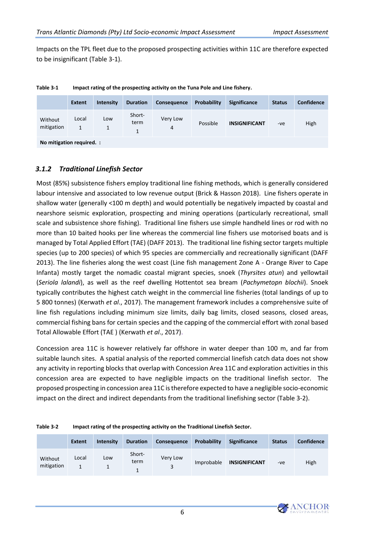Impacts on the TPL fleet due to the proposed prospecting activities within 11C are therefore expected to be insignificant [\(Table 3-1\)](#page-12-1).

|                           | <b>Extent</b>         | <b>Intensity</b> | <b>Duration</b>     | <b>Consequence</b> | Probability | <b>Significance</b>  | <b>Status</b> | <b>Confidence</b> |  |
|---------------------------|-----------------------|------------------|---------------------|--------------------|-------------|----------------------|---------------|-------------------|--|
| Without<br>mitigation     | Local<br>$\mathbf{1}$ | Low              | Short-<br>term<br>1 | Very Low<br>4      | Possible    | <b>INSIGNIFICANT</b> | -ve           | High              |  |
| No mitigation required. : |                       |                  |                     |                    |             |                      |               |                   |  |

<span id="page-12-1"></span>**Table 3-1 Impact rating of the prospecting activity on the Tuna Pole and Line fishery.**

<span id="page-12-0"></span>*3.1.2 Traditional Linefish Sector*

Most (85%) subsistence fishers employ traditional line fishing methods, which is generally considered labour intensive and associated to low revenue output (Brick & Hasson 2018). Line fishers operate in shallow water (generally <100 m depth) and would potentially be negatively impacted by coastal and nearshore seismic exploration, prospecting and mining operations (particularly recreational, small scale and subsistence shore fishing). Traditional line fishers use simple handheld lines or rod with no more than 10 baited hooks per line whereas the commercial line fishers use motorised boats and is managed by Total Applied Effort (TAE) (DAFF 2013). The traditional line fishing sector targets multiple species (up to 200 species) of which 95 species are commercially and recreationally significant (DAFF 2013). The line fisheries along the west coast (Line fish management Zone A - Orange River to Cape Infanta) mostly target the nomadic coastal migrant species, snoek (*Thyrsites atun*) and yellowtail (*Seriola lalandi*), as well as the reef dwelling Hottentot sea bream (*Pachymetopn blochii*). Snoek typically contributes the highest catch weight in the commercial line fisheries (total landings of up to 5 800 tonnes) (Kerwath *et al*., 2017). The management framework includes a comprehensive suite of line fish regulations including minimum size limits, daily bag limits, closed seasons, closed areas, commercial fishing bans for certain species and the capping of the commercial effort with zonal based Total Allowable Effort (TAE ) (Kerwath *et al*., 2017).

Concession area 11C is however relatively far offshore in water deeper than 100 m, and far from suitable launch sites. A spatial analysis of the reported commercial linefish catch data does not show any activity in reporting blocks that overlap with Concession Area 11C and exploration activities in this concession area are expected to have negligible impacts on the traditional linefish sector. The proposed prospecting in concession area 11C is therefore expected to have a negligible socio-economic impact on the direct and indirect dependants from the traditional linefishing sector [\(Table 3-2\)](#page-12-2).

<span id="page-12-2"></span>

| Impact rating of the prospecting activity on the Traditional Linefish Sector. |
|-------------------------------------------------------------------------------|
|                                                                               |

|                       | <b>Extent</b> | <b>Intensity</b> | <b>Duration</b> | <b>Consequence</b>         | Probability | <b>Significance</b>  | <b>Status</b> | <b>Confidence</b> |
|-----------------------|---------------|------------------|-----------------|----------------------------|-------------|----------------------|---------------|-------------------|
| Without<br>mitigation | Local         | Low              | Short-<br>term  | Very Low<br>$\overline{a}$ | Improbable  | <b>INSIGNIFICANT</b> | -ve           | High              |

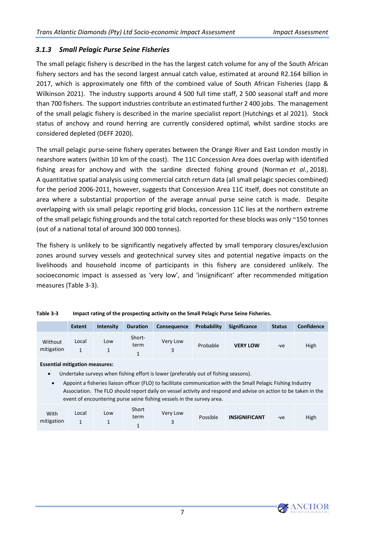#### <span id="page-13-0"></span>*3.1.3 Small Pelagic Purse Seine Fisheries*

The small pelagic fishery is described in the has the largest catch volume for any of the South African fishery sectors and has the second largest annual catch value, estimated at around R2.164 billion in 2017, which is approximately one fifth of the combined value of South African Fisheries (Japp & Wilkinson 2021). The industry supports around 4 500 full time staff, 2 500 seasonal staff and more than 700 fishers. The support industries contribute an estimated further 2 400 jobs. The management of the small pelagic fishery is described in the marine specialist report (Hutchings et al 2021). Stock status of anchovy and round herring are currently considered optimal, whilst sardine stocks are considered depleted (DEFF 2020).

The small pelagic purse-seine fishery operates between the Orange River and East London mostly in nearshore waters (within 10 km of the coast). The 11C Concession Area does overlap with identified fishing areas for anchovy and with the sardine directed fishing ground (Norman *et al*., 2018). A quantitative spatial analysis using commercial catch return data (all small pelagic species combined) for the period 2006-2011, however, suggests that Concession Area 11C itself, does not constitute an area where a substantial proportion of the average annual purse seine catch is made. Despite overlapping with six small pelagic reporting grid blocks, concession 11C lies at the northern extreme of the small pelagic fishing grounds and the total catch reported for these blocks was only ~150 tonnes (out of a national total of around 300 000 tonnes).

The fishery is unlikely to be significantly negatively affected by small temporary closures/exclusion zones around survey vessels and geotechnical survey sites and potential negative impacts on the livelihoods and household income of participants in this fishery are considered unlikely. The socioeconomic impact is assessed as 'very low', and 'insignificant' after recommended mitigation measures [\(Table 3-3\)](#page-13-1).

<span id="page-13-1"></span>

| Table 3-3 | Impact rating of the prospecting activity on the Small Pelagic Purse Seine Fisheries. |  |
|-----------|---------------------------------------------------------------------------------------|--|
|-----------|---------------------------------------------------------------------------------------|--|

|                       | <b>Extent</b> | <b>Intensity</b> | <b>Duration</b> | Consequence | Probability | Significance    | <b>Status</b> | <b>Confidence</b> |
|-----------------------|---------------|------------------|-----------------|-------------|-------------|-----------------|---------------|-------------------|
| Without<br>mitigation | Local         | Low              | Short-<br>term  | Very Low    | Probable    | <b>VERY LOW</b> | -ve           | High              |

**Essential mitigation measures:** 

• Undertake surveys when fishing effort is lower (preferably out of fishing seasons).

• Appoint a fisheries liaison officer (FLO) to facilitate communication with the Small Pelagic Fishing Industry Association. The FLO should report daily on vessel activity and respond and advise on action to be taken in the event of encountering purse seine fishing vessels in the survey area.

| With<br>mitigation | Local | Low<br>- | Short<br>term | Very Low | Possible | <b>INSIGNIFICANT</b> | -ve | High |
|--------------------|-------|----------|---------------|----------|----------|----------------------|-----|------|
|--------------------|-------|----------|---------------|----------|----------|----------------------|-----|------|

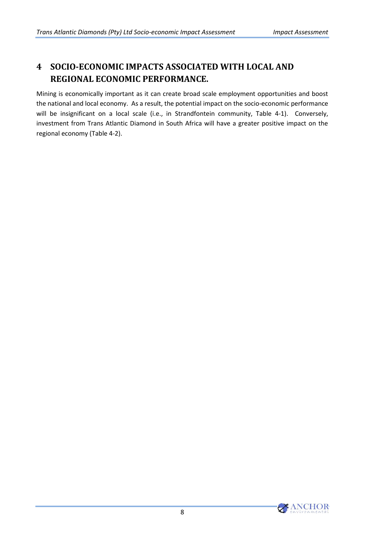#### <span id="page-14-0"></span>**4 SOCIO-ECONOMIC IMPACTS ASSOCIATED WITH LOCAL AND REGIONAL ECONOMIC PERFORMANCE.**

Mining is economically important as it can create broad scale employment opportunities and boost the national and local economy. As a result, the potential impact on the socio-economic performance will be insignificant on a local scale (i.e., in Strandfontein community, [Table 4-1\)](#page-15-0). Conversely, investment from Trans Atlantic Diamond in South Africa will have a greater positive impact on the regional economy [\(Table 4-2\)](#page-15-1).

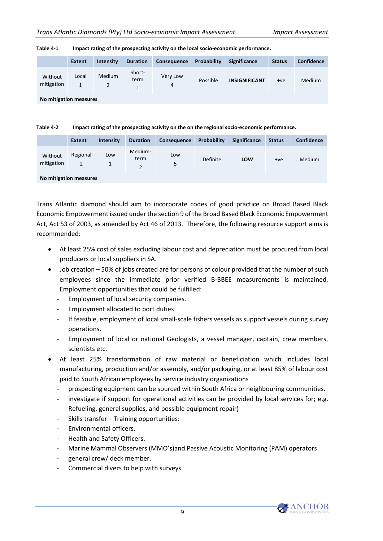|                                                                                                                                                                                                                                   | <b>Extent</b> | <b>Intensity</b> | <b>Duration</b> | Consequence   | Probability | <b>Significance</b>  | <b>Status</b> | <b>Confidence</b> |
|-----------------------------------------------------------------------------------------------------------------------------------------------------------------------------------------------------------------------------------|---------------|------------------|-----------------|---------------|-------------|----------------------|---------------|-------------------|
| Without<br>mitigation                                                                                                                                                                                                             | Local<br>1    | Medium           | Short-<br>term  | Very Low<br>4 | Possible    | <b>INSIGNIFICANT</b> | $+ve$         | Medium            |
| $\mathbf{r}$ . The set of the set of the set of the set of the set of the set of the set of the set of the set of the set of the set of the set of the set of the set of the set of the set of the set of the set of the set of t |               |                  |                 |               |             |                      |               |                   |

#### <span id="page-15-0"></span>**Table 4-1 Impact rating of the prospecting activity on the local socio-economic performance.**

<span id="page-15-1"></span>**No mitigation measures**

**Table 4-2 Impact rating of the prospecting activity on the on the regional socio-economic performance.**

|                        | <b>Extent</b>              | <b>Intensity</b> | <b>Duration</b> | Consequence | Probability | <b>Significance</b> | <b>Status</b> | <b>Confidence</b> |
|------------------------|----------------------------|------------------|-----------------|-------------|-------------|---------------------|---------------|-------------------|
| Without<br>mitigation  | Regional<br>$\overline{2}$ | Low              | Medium-<br>term | Low<br>5    | Definite    | LOW                 | $+ve$         | Medium            |
| No mitigation measures |                            |                  |                 |             |             |                     |               |                   |

Trans Atlantic diamond should aim to incorporate codes of good practice on Broad Based Black Economic Empowerment issued under the section 9 of the Broad Based Black Economic Empowerment Act, Act 53 of 2003, as amended by Act 46 of 2013. Therefore, the following resource support aims is recommended:

- At least 25% cost of sales excluding labour cost and depreciation must be procured from local producers or local suppliers in SA.
- Job creation 50% of jobs created are for persons of colour provided that the number of such employees since the immediate prior verified B-BBEE measurements is maintained. Employment opportunities that could be fulfilled:
	- Employment of local security companies.
	- Employment allocated to port duties
	- If feasible, employment of local small-scale fishers vessels as support vessels during survey operations.
	- Employment of local or national Geologists, a vessel manager, captain, crew members, scientists etc.
- At least 25% transformation of raw material or beneficiation which includes local manufacturing, production and/or assembly, and/or packaging, or at least 85% of labour cost paid to South African employees by service industry organizations
	- prospecting equipment can be sourced within South Africa or neighbouring communities.
	- investigate if support for operational activities can be provided by local services for; e.g. Refueling, general supplies, and possible equipment repair)
	- Skills transfer Training opportunities:
	- Environmental officers.
	- Health and Safety Officers.
	- Marine Mammal Observers (MMO's)and Passive Acoustic Monitoring (PAM) operators.
	- general crew/ deck member.
	- Commercial divers to help with surveys.

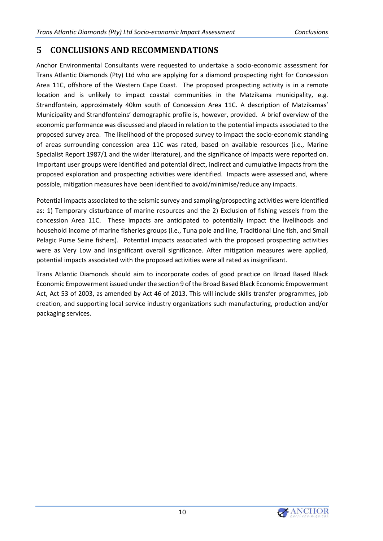#### <span id="page-16-0"></span>**5 CONCLUSIONS AND RECOMMENDATIONS**

Anchor Environmental Consultants were requested to undertake a socio-economic assessment for Trans Atlantic Diamonds (Pty) Ltd who are applying for a diamond prospecting right for Concession Area 11C, offshore of the Western Cape Coast. The proposed prospecting activity is in a remote location and is unlikely to impact coastal communities in the Matzikama municipality, e.g. Strandfontein, approximately 40km south of Concession Area 11C. A description of Matzikamas' Municipality and Strandfonteins' demographic profile is, however, provided. A brief overview of the economic performance was discussed and placed in relation to the potential impacts associated to the proposed survey area. The likelihood of the proposed survey to impact the socio-economic standing of areas surrounding concession area 11C was rated, based on available resources (i.e., Marine Specialist Report 1987/1 and the wider literature), and the significance of impacts were reported on. Important user groups were identified and potential direct, indirect and cumulative impacts from the proposed exploration and prospecting activities were identified. Impacts were assessed and, where possible, mitigation measures have been identified to avoid/minimise/reduce any impacts.

Potential impacts associated to the seismic survey and sampling/prospecting activities were identified as: 1) Temporary disturbance of marine resources and the 2) Exclusion of fishing vessels from the concession Area 11C. These impacts are anticipated to potentially impact the livelihoods and household income of marine fisheries groups (i.e., Tuna pole and line, Traditional Line fish, and Small Pelagic Purse Seine fishers). Potential impacts associated with the proposed prospecting activities were as Very Low and Insignificant overall significance. After mitigation measures were applied, potential impacts associated with the proposed activities were all rated as insignificant.

Trans Atlantic Diamonds should aim to incorporate codes of good practice on Broad Based Black Economic Empowerment issued under the section 9 of the Broad Based Black Economic Empowerment Act, Act 53 of 2003, as amended by Act 46 of 2013. This will include skills transfer programmes, job creation, and supporting local service industry organizations such manufacturing, production and/or packaging services.

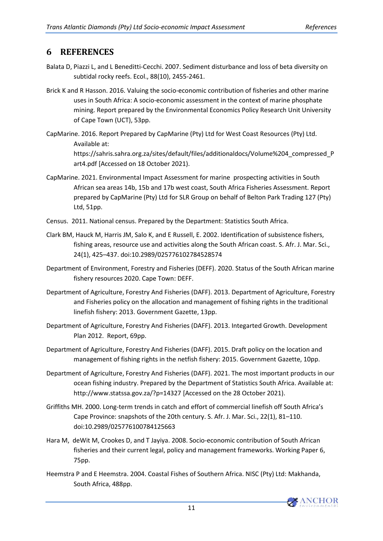#### <span id="page-17-0"></span>**6 REFERENCES**

- Balata D, Piazzi L, and L Beneditti-Cecchi. 2007. Sediment disturbance and loss of beta diversity on subtidal rocky reefs. Ecol., 88(10), 2455-2461.
- Brick K and R Hasson. 2016. Valuing the socio-economic contribution of fisheries and other marine uses in South Africa: A socio-economic assessment in the context of marine phosphate mining. Report prepared by the Environmental Economics Policy Research Unit University of Cape Town (UCT), 53pp.
- CapMarine. 2016. Report Prepared by CapMarine (Pty) Ltd for West Coast Resources (Pty) Ltd. Available at: [https://sahris.sahra.org.za/sites/default/files/additionaldocs/Volume%204\\_compressed\\_P](https://sahris.sahra.org.za/sites/default/files/additionaldocs/Volume%204_compressed_Part4.pdf) [art4.pdf](https://sahris.sahra.org.za/sites/default/files/additionaldocs/Volume%204_compressed_Part4.pdf) [Accessed on 18 October 2021).
- CapMarine. 2021. Environmental Impact Assessment for marine prospecting activities in South African sea areas 14b, 15b and 17b west coast, South Africa Fisheries Assessment. Report prepared by CapMarine (Pty) Ltd for SLR Group on behalf of Belton Park Trading 127 (Pty) Ltd, 51pp.
- Census. 2011. National census. Prepared by the Department: Statistics South Africa.
- Clark BM, Hauck M, Harris JM, Salo K, and E Russell, E. 2002. Identification of subsistence fishers, fishing areas, resource use and activities along the South African coast. S. Afr. J. Mar. Sci., 24(1), 425–437. doi:10.2989/025776102784528574
- Department of Environment, Forestry and Fisheries (DEFF). 2020. Status of the South African marine fishery resources 2020. Cape Town: DEFF.
- Department of Agriculture, Forestry And Fisheries (DAFF). 2013. Department of Agriculture, Forestry and Fisheries policy on the allocation and management of fishing rights in the traditional linefish fishery: 2013. Government Gazette, 13pp.
- Department of Agriculture, Forestry And Fisheries (DAFF). 2013. Integarted Growth. Development Plan 2012. Report, 69pp.
- Department of Agriculture, Forestry And Fisheries (DAFF). 2015. Draft policy on the location and management of fishing rights in the netfish fishery: 2015. Government Gazette, 10pp.
- Department of Agriculture, Forestry And Fisheries (DAFF). 2021. The most important products in our ocean fishing industry. Prepared by the Department of Statistics South Africa. Available at: <http://www.statssa.gov.za/?p=14327> [Accessed on the 28 October 2021).
- Griffiths MH. 2000. Long-term trends in catch and effort of commercial linefish off South Africa's Cape Province: snapshots of the 20th century. S. Afr. J. Mar. Sci., 22(1), 81–110. doi:10.2989/025776100784125663
- Hara M, deWit M, Crookes D, and T Jayiya. 2008. Socio-economic contribution of South African fisheries and their current legal, policy and management frameworks. Working Paper 6, 75pp.
- Heemstra P and E Heemstra. 2004. Coastal Fishes of Southern Africa. NISC (Pty) Ltd: Makhanda, South Africa, 488pp.

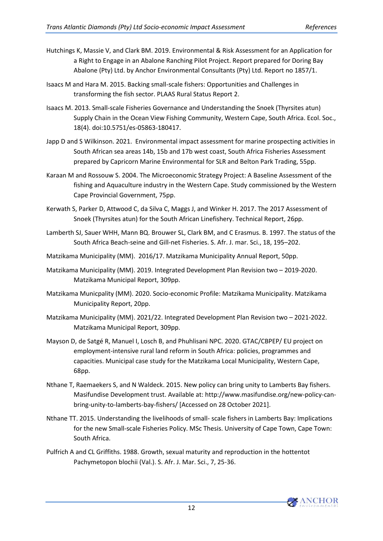- Hutchings K, Massie V, and Clark BM. 2019. Environmental & Risk Assessment for an Application for a Right to Engage in an Abalone Ranching Pilot Project. Report prepared for Doring Bay Abalone (Pty) Ltd. by Anchor Environmental Consultants (Pty) Ltd. Report no 1857/1.
- Isaacs M and Hara M. 2015. Backing small-scale fishers: Opportunities and Challenges in transforming the fish sector. PLAAS Rural Status Report 2.
- Isaacs M. 2013. Small-scale Fisheries Governance and Understanding the Snoek (Thyrsites atun) Supply Chain in the Ocean View Fishing Community, Western Cape, South Africa. Ecol. Soc., 18(4). doi:10.5751/es-05863-180417.
- Japp D and S Wilkinson. 2021. Environmental impact assessment for marine prospecting activities in South African sea areas 14b, 15b and 17b west coast, South Africa Fisheries Assessment prepared by Capricorn Marine Environmental for SLR and Belton Park Trading, 55pp.
- Karaan M and Rossouw S. 2004. The Microeconomic Strategy Project: A Baseline Assessment of the fishing and Aquaculture industry in the Western Cape. Study commissioned by the Western Cape Provincial Government, 75pp.
- Kerwath S, Parker D, Attwood C, da Silva C, Maggs J, and Winker H. 2017. The 2017 Assessment of Snoek (Thyrsites atun) for the South African Linefishery. Technical Report, 26pp.
- Lamberth SJ, Sauer WHH, Mann BQ. Brouwer SL, Clark BM, and C Erasmus. B. 1997. The status of the South Africa Beach-seine and Gill-net Fisheries. S. Afr. J. mar. Sci., 18, 195–202.
- Matzikama Municipality (MM). 2016/17. Matzikama Municipality Annual Report, 50pp.
- Matzikama Municipality (MM). 2019. Integrated Development Plan Revision two 2019-2020. Matzikama Municipal Report, 309pp.
- Matzikama Municpality (MM). 2020. Socio-economic Profile: Matzikama Municipality. Matzikama Municipality Report, 20pp.
- Matzikama Municipality (MM). 2021/22. Integrated Development Plan Revision two 2021-2022. Matzikama Municipal Report, 309pp.
- Mayson D, de Satgé R, Manuel I, Losch B, and Phuhlisani NPC. 2020. GTAC/CBPEP/ EU project on employment-intensive rural land reform in South Africa: policies, programmes and capacities. Municipal case study for the Matzikama Local Municipality, Western Cape, 68pp.
- Nthane T, Raemaekers S, and N Waldeck. 2015. New policy can bring unity to Lamberts Bay fishers. Masifundise Development trust. Available at[: http://www.masifundise.org/new-policy-can](http://www.masifundise.org/new-policy-can-bring-unity-to-lamberts-bay-fishers/)[bring-unity-to-lamberts-bay-fishers/](http://www.masifundise.org/new-policy-can-bring-unity-to-lamberts-bay-fishers/) [Accessed on 28 October 2021].
- Nthane TT. 2015. Understanding the livelihoods of small- scale fishers in Lamberts Bay: Implications for the new Small-scale Fisheries Policy. MSc Thesis. University of Cape Town, Cape Town: South Africa.
- Pulfrich A and CL Griffiths. 1988. Growth, sexual maturity and reproduction in the hottentot Pachymetopon blochii (Val.). S. Afr. J. Mar. Sci., 7, 25-36.